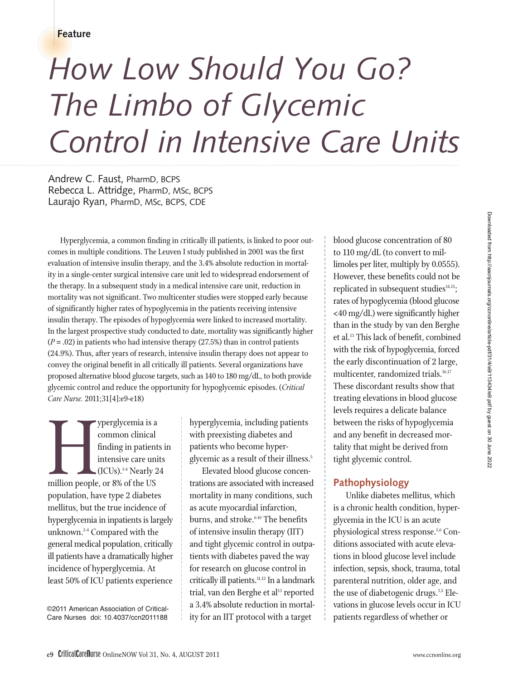**Feature**

# *How Low Should You Go? The Limbo of Glycemic Control in Intensive Care Units*

Andrew C. Faust, PharmD, BCPS Rebecca L. Attridge, PharmD, MSc, BCPS Laurajo Ryan, PharmD, MSc, BCPS, CDE

Hyperglycemia, a common finding in critically ill patients, is linked to poor outcomes in multiple conditions. The Leuven I study published in 2001 was the first evaluation of intensive insulin therapy, and the 3.4% absolute reduction in mortality in a single-center surgical intensive care unit led to widespread endorsement of the therapy. In a subsequent study in a medical intensive care unit, reduction in mortality was not significant. Two multicenter studies were stopped early because of significantly higher rates of hypoglycemia in the patients receiving intensive insulin therapy. The episodes of hypoglycemia were linked to increased mortality. In the largest prospective study conducted to date, mortality was significantly higher (*P* = .02) in patients who had intensive therapy (27.5%) than in control patients (24.9%). Thus, after years of research, intensive insulin therapy does not appear to convey the original benefit in all critically ill patients. Several organizations have proposed alternative blood glucose targets, such as 140 to 180 mg/dL, to both provide glycemic control and reduce the opportunity for hypoglycemic episodes. (*Critical Care Nurse.* 2011;31[4]:e9-e18)

Superglycemia is a<br>
million people, or 8% of the US<br>
million people, or 8% of the US<br>
million have time 3 diabeted common clinical finding in patients in intensive care units  $\blacksquare$  (ICUs).<sup>1-4</sup> Nearly 24 population, have type 2 diabetes mellitus, but the true incidence of hyperglycemia in inpatients is largely unknown.2-4 Compared with the general medical population, critically ill patients have a dramatically higher incidence of hyperglycemia. At least 50% of ICU patients experience

©2011 American Association of Critical-Care Nurses doi: 10.4037/ccn2011188

hyperglycemia, including patients with preexisting diabetes and patients who become hyperglycemic as a result of their illness.<sup>5</sup>

Elevated blood glucose concentrations are associated with increased mortality in many conditions, such as acute myocardial infarction, burns, and stroke.<sup>6-10</sup> The benefits of intensive insulin therapy (IIT) and tight glycemic control in outpatients with diabetes paved the way for research on glucose control in critically ill patients.<sup>11,12</sup> In a landmark trial, van den Berghe et al<sup>13</sup> reported a 3.4% absolute reduction in mortality for an IIT protocol with a target

blood glucose concentration of 80 to 110 mg/dL (to convert to millimoles per liter, multiply by 0.0555). However, these benefits could not be replicated in subsequent studies $14,15$ ; rates of hypoglycemia (blood glucose <40 mg/dL) were significantly higher than in the study by van den Berghe et al.<sup>13</sup> This lack of benefit, combined with the risk of hypoglycemia, forced the early discontinuation of 2 large, multicenter, randomized trials.<sup>16,17</sup> These discordant results show that treating elevations in blood glucose levels requires a delicate balance between the risks of hypoglycemia and any benefit in decreased mortality that might be derived from tight glycemic control.

### **Pathophysiology**

Unlike diabetes mellitus, which is a chronic health condition, hyperglycemia in the ICU is an acute physiological stress response.5,6 Conditions associated with acute elevations in blood glucose level include infection, sepsis, shock, trauma, total parenteral nutrition, older age, and the use of diabetogenic drugs.<sup>3,5</sup> Elevations in glucose levels occur in ICU patients regardless of whether or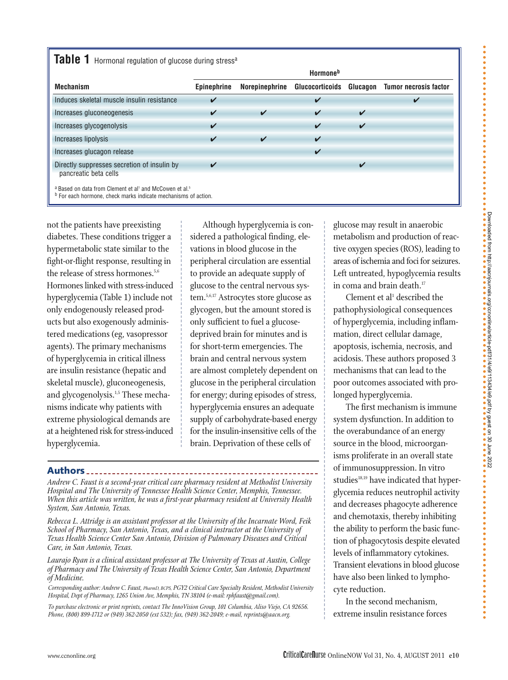## Table 1 Hormonal regulation of glucose during stress<sup>a</sup>

|                                                                      | <b>Hormone</b> <sup>b</sup> |                    |                    |                            |                       |  |
|----------------------------------------------------------------------|-----------------------------|--------------------|--------------------|----------------------------|-----------------------|--|
| <b>Mechanism</b>                                                     | <b>Epinephrine</b>          | Norepinephrine     | Glucocorticoids    | Glucagon                   | Tumor necrosis factor |  |
| Induces skeletal muscle insulin resistance                           | ✓                           |                    | ✔                  |                            |                       |  |
| Increases gluconeogenesis                                            | ✓                           | ✓                  | $\boldsymbol{\nu}$ | $\boldsymbol{\mathcal{U}}$ |                       |  |
| Increases glycogenolysis                                             | ✓                           |                    | ✓                  | ✓                          |                       |  |
| Increases lipolysis                                                  | ✓                           | $\boldsymbol{\nu}$ | $\boldsymbol{\nu}$ |                            |                       |  |
| Increases glucagon release                                           |                             |                    | $\boldsymbol{\nu}$ |                            |                       |  |
| Directly suppresses secretion of insulin by<br>pancreatic beta cells | ✓                           |                    |                    | $\overline{\mathbf{A}}$    |                       |  |
| a Based on data from Clement et al' and McCowen et al. <sup>5</sup>  |                             |                    |                    |                            |                       |  |

**b** For each hormone, check marks indicate mechanisms of action.

not the patients have preexisting diabetes. These conditions trigger a hypermetabolic state similar to the fight-or-flight response, resulting in the release of stress hormones.<sup>5,6</sup> Hormones linked with stress-induced hyperglycemia (Table 1) include not only endogenously released products but also exogenously administered medications (eg, vasopressor agents). The primary mechanisms of hyperglycemia in critical illness are insulin resistance (hepatic and skeletal muscle), gluconeogenesis, and glycogenolysis.<sup>1,5</sup> These mechanisms indicate why patients with extreme physiological demands are at a heightened risk for stress-induced hyperglycemia.

Although hyperglycemia is considered a pathological finding, elevations in blood glucose in the peripheral circulation are essential to provide an adequate supply of glucose to the central nervous system.5,6,17 Astrocytes store glucose as glycogen, but the amount stored is only sufficient to fuel a glucosedeprived brain for minutes and is for short-term emergencies. The brain and central nervous system are almost completely dependent on glucose in the peripheral circulation for energy; during episodes of stress, hyperglycemia ensures an adequate supply of carbohydrate-based energy for the insulin-insensitive cells of the brain. Deprivation of these cells of

#### **Authors**

*Andrew C. Faust is a second-year critical care pharmacy resident at Methodist University Hospital and The University of Tennessee Health Science Center, Memphis, Tennessee. When this article was written, he was a first-year pharmacy resident at University Health System, San Antonio, Texas.*

*Rebecca L. Attridge is an assistant professor at the University of the Incarnate Word, Feik School of Pharmacy, San Antonio, Texas, and a clinical instructor at the University of Texas Health Science Center San Antonio, Division of Pulmonary Diseases and Critical Care, in San Antonio, Texas.*

*Laurajo Ryan is a clinical assistant professor at The University of Texas at Austin, College of Pharmacy and The University of Texas Health Science Center, San Antonio, Department of Medicine.*

*Corresponding author: Andrew C. Faust, PharmD, BCPS, PGY2 Critical Care Specialty Resident, Methodist Uni versity Hospital, Dept of Pharmacy, 1265 Union Ave, Memphis, TN 38104 (e-mail: rphfaust@gmail.com).*

*To purchase electronic or print reprints, contact The InnoVision Group, 101 Columbia, Aliso Viejo, CA 92656. Phone, (800) 899-1712 or (949) 362-2050 (ext 532); fax, (949) 362-2049; e-mail, reprints@aacn.org.*

glucose may result in anaerobic metabolism and production of reactive oxygen species (ROS), leading to areas of ischemia and foci for seizures. Left untreated, hypoglycemia results in coma and brain death.<sup>17</sup>

Clement et al<sup>1</sup> described the pathophysiological consequences of hyperglycemia, including inflammation, direct cellular damage, apoptosis, ischemia, necrosis, and acidosis. These authors proposed 3 mechanisms that can lead to the poor outcomes associated with prolonged hyperglycemia.

The first mechanism is immune system dysfunction. In addition to the overabundance of an energy source in the blood, microorganisms proliferate in an overall state of immunosuppression. In vitro studies<sup>18,19</sup> have indicated that hyperglycemia reduces neutrophil activity and decreases phagocyte adherence and chemotaxis, thereby inhibiting the ability to perform the basic function of phagocytosis despite elevated levels of inflammatory cytokines. Transient elevations in blood glucose have also been linked to lymphocyte reduction.

In the second mechanism, extreme insulin resistance forces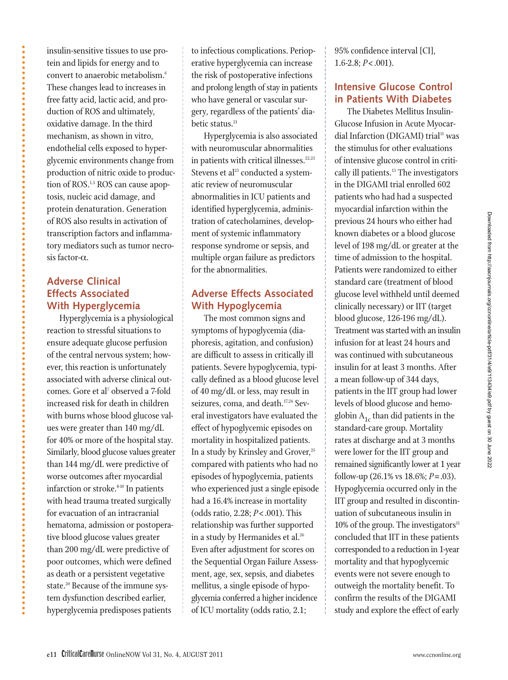insulin-sensitive tissues to use protein and lipids for energy and to convert to anaerobic metabolism.6 These changes lead to increases in free fatty acid, lactic acid, and production of ROS and ultimately, oxidative damage. In the third mechanism, as shown in vitro, endothelial cells exposed to hyperglycemic environments change from production of nitric oxide to production of ROS.1,5 ROS can cause apoptosis, nucleic acid damage, and protein denaturation. Generation of ROS also results in activation of transcription factors and inflammatory mediators such as tumor necrosis factor-α.

## **Adverse Clinical Effects Associated With Hyperglycemia**

Hyperglycemia is a physiological reaction to stressful situations to ensure adequate glucose perfusion of the central nervous system; however, this reaction is unfortunately associated with adverse clinical outcomes. Gore et al<sup>7</sup> observed a 7-fold increased risk for death in children with burns whose blood glucose values were greater than 140 mg/dL for 40% or more of the hospital stay. Similarly, blood glucose values greater than 144 mg/dL were predictive of worse outcomes after myocardial infarction or stroke.<sup>8-10</sup> In patients with head trauma treated surgically for evacuation of an intracranial hematoma, admission or postoperative blood glucose values greater than 200 mg/dL were predictive of poor outcomes, which were defined as death or a persistent vegetative state.<sup>20</sup> Because of the immune system dysfunction described earlier, hyperglycemia predisposes patients

to infectious complications. Perioperative hyperglycemia can increase the risk of postoperative infections and prolong length of stay in patients who have general or vascular surgery, regardless of the patients' diabetic status.<sup>21</sup>

Hyperglycemia is also associated with neuromuscular abnormalities in patients with critical illnesses.<sup>22,23</sup> Stevens et al<sup>23</sup> conducted a systematic review of neuromuscular abnormalities in ICU patients and identified hyperglycemia, administration of catecholamines, development of systemic inflammatory response syndrome or sepsis, and multiple organ failure as predictors for the abnormalities.

## **Adverse Effects Associated With Hypoglycemia**

The most common signs and symptoms of hypoglycemia (diaphoresis, agitation, and confusion) are difficult to assess in critically ill patients. Severe hypoglycemia, typically defined as a blood glucose level of 40 mg/dL or less, may result in seizures, coma, and death.<sup>17,24</sup> Several investigators have evaluated the effect of hypoglycemic episodes on mortality in hospitalized patients. In a study by Krinsley and Grover, $25$ compared with patients who had no episodes of hypoglycemia, patients who experienced just a single episode had a 16.4% increase in mortality (odds ratio, 2.28; *P*< .001). This relationship was further supported in a study by Hermanides et al.<sup>26</sup> Even after adjustment for scores on the Sequential Organ Failure Assessment, age, sex, sepsis, and diabetes mellitus, a single episode of hypoglycemia conferred a higher incidence of ICU mortality (odds ratio, 2.1;

95% confidence interval [CI], 1.6-2.8; *P*< .001).

## **Intensive Glucose Control in Patients With Diabetes**

The Diabetes Mellitus Insulin-Glucose Infusion in Acute Myocardial Infarction (DIGAMI) trial<sup>11</sup> was the stimulus for other evaluations of intensive glucose control in critically ill patients.<sup>13</sup> The investigators in the DIGAMI trial enrolled 602 patients who had had a suspected myocardial infarction within the previous 24 hours who either had known diabetes or a blood glucose level of 198 mg/dL or greater at the time of admission to the hospital. Patients were randomized to either standard care (treatment of blood glucose level withheld until deemed clinically necessary) or IIT (target blood glucose, 126-196 mg/dL). Treatment was started with an insulin infusion for at least 24 hours and was continued with subcutaneous insulin for at least 3 months. After a mean follow-up of 344 days, patients in the IIT group had lower levels of blood glucose and hemoglobin  $A_{1c}$  than did patients in the standard-care group. Mortality rates at discharge and at 3 months were lower for the IIT group and remained significantly lower at 1 year follow-up (26.1% vs 18.6%; *P*= .03). Hypoglycemia occurred only in the IIT group and resulted in discontinuation of subcutaneous insulin in  $10\%$  of the group. The investigators $\mathbf{u}$ concluded that IIT in these patients corresponded to a reduction in 1-year mortality and that hypoglycemic events were not severe enough to outweigh the mortality benefit. To confirm the results of the DIGAMI study and explore the effect of early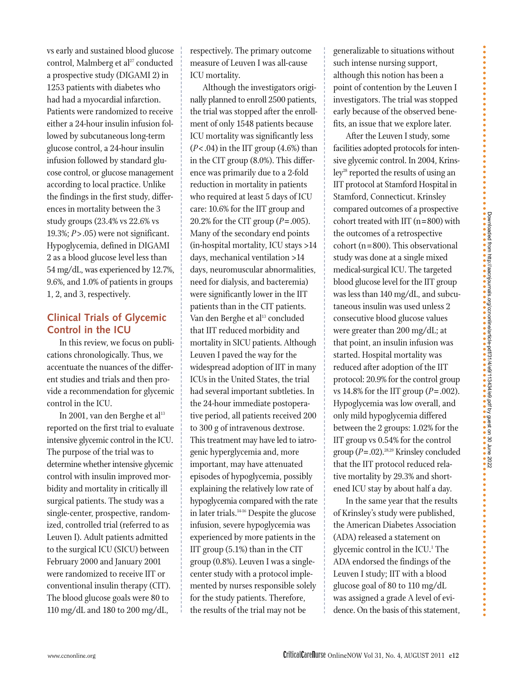vs early and sustained blood glucose control, Malmberg et al<sup>27</sup> conducted a prospective study (DIGAMI 2) in 1253 patients with diabetes who had had a myocardial infarction. Patients were randomized to receive either a 24-hour insulin infusion followed by subcutaneous long-term glucose control, a 24-hour insulin infusion followed by standard glucose control, or glucose management according to local practice. Unlike the findings in the first study, differences in mortality between the 3 study groups (23.4% vs 22.6% vs 19.3%; *P*> .05) were not significant. Hypoglycemia, defined in DIGAMI 2 as a blood glucose level less than 54 mg/dL, was experienced by 12.7%, 9.6%, and 1.0% of patients in groups 1, 2, and 3, respectively.

## **Clinical Trials of Glycemic Control in the ICU**

In this review, we focus on publications chronologically. Thus, we accentuate the nuances of the different studies and trials and then provide a recommendation for glycemic control in the ICU.

In 2001, van den Berghe et al<sup>13</sup> reported on the first trial to evaluate intensive glycemic control in the ICU. The purpose of the trial was to determine whether intensive glycemic control with insulin improved morbidity and mortality in critically ill surgical patients. The study was a single-center, prospective, randomized, controlled trial (referred to as Leuven I). Adult patients admitted to the surgical ICU (SICU) between February 2000 and January 2001 were randomized to receive IIT or conventional insulin therapy (CIT). The blood glucose goals were 80 to 110 mg/dL and 180 to 200 mg/dL,

respectively. The primary outcome measure of Leuven I was all-cause ICU mortality.

Although the investigators originally planned to enroll 2500 patients, the trial was stopped after the enrollment of only 1548 patients because ICU mortality was significantly less  $(P<.04)$  in the IIT group  $(4.6%)$  than in the CIT group (8.0%). This difference was primarily due to a 2-fold reduction in mortality in patients who required at least 5 days of ICU care: 10.6% for the IIT group and 20.2% for the CIT group (*P*= .005). Many of the secondary end points (in-hospital mortality, ICU stays >14 days, mechanical ventilation >14 days, neuromuscular abnormalities, need for dialysis, and bacteremia) were significantly lower in the IIT patients than in the CIT patients. Van den Berghe et al<sup>13</sup> concluded that IIT reduced morbidity and mortality in SICU patients. Although Leuven I paved the way for the widespread adoption of IIT in many ICUs in the United States, the trial had several important subtleties. In the 24-hour immediate postoperative period, all patients received 200 to 300 g of intravenous dextrose. This treatment may have led to iatrogenic hyperglycemia and, more important, may have attenuated episodes of hypoglycemia, possibly explaining the relatively low rate of hypoglycemia compared with the rate in later trials.<sup>14-16</sup> Despite the glucose infusion, severe hypoglycemia was experienced by more patients in the IIT group (5.1%) than in the CIT group (0.8%). Leuven I was a singlecenter study with a protocol implemented by nurses responsible solely for the study patients. Therefore, the results of the trial may not be

generalizable to situations without such intense nursing support, although this notion has been a point of contention by the Leuven I investigators. The trial was stopped early because of the observed benefits, an issue that we explore later.

After the Leuven I study, some facilities adopted protocols for intensive glycemic control. In 2004, Krins $ley<sup>28</sup>$  reported the results of using an IIT protocol at Stamford Hospital in Stamford, Connecticut. Krinsley compared outcomes of a prospective cohort treated with IIT (n=800) with the outcomes of a retrospective  $\text{cohort}$  (n=800). This observational study was done at a single mixed medical-surgical ICU. The targeted blood glucose level for the IIT group was less than 140 mg/dL, and subcutaneous insulin was used unless 2 consecutive blood glucose values were greater than 200 mg/dL; at that point, an insulin infusion was started. Hospital mortality was reduced after adoption of the IIT protocol: 20.9% for the control group vs 14.8% for the IIT group  $(P=.002)$ . Hypoglycemia was low overall, and only mild hypoglycemia differed between the 2 groups: 1.02% for the IIT group vs 0.54% for the control group (*P*=.02).28,29 Krinsley concluded that the IIT protocol reduced relative mortality by 29.3% and shortened ICU stay by about half a day.

In the same year that the results of Krinsley's study were published, the American Diabetes Association (ADA) released a statement on glycemic control in the ICU.1 The ADA endorsed the findings of the Leuven I study; IIT with a blood glucose goal of 80 to 110 mg/dL was assigned a grade A level of evidence. On the basis of this statement,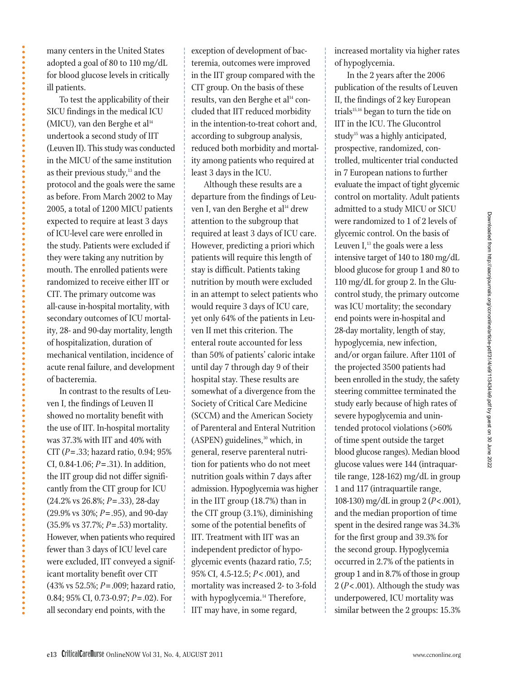many centers in the United States adopted a goal of 80 to 110 mg/dL for blood glucose levels in critically ill patients.

To test the applicability of their SICU findings in the medical ICU (MICU), van den Berghe et al $^{14}$ undertook a second study of IIT (Leuven II). This study was conducted in the MICU of the same institution as their previous study, $13$  and the protocol and the goals were the same as before. From March 2002 to May 2005, a total of 1200 MICU patients expected to require at least 3 days of ICU-level care were enrolled in the study. Patients were excluded if they were taking any nutrition by mouth. The enrolled patients were randomized to receive either IIT or CIT. The primary outcome was all-cause in-hospital mortality, with secondary outcomes of ICU mortality, 28- and 90-day mortality, length of hospitalization, duration of mechanical ventilation, incidence of acute renal failure, and development of bacteremia.

In contrast to the results of Leuven I, the findings of Leuven II showed no mortality benefit with the use of IIT. In-hospital mortality was 37.3% with IIT and 40% with CIT (*P*= .33; hazard ratio, 0.94; 95% CI, 0.84-1.06; *P*= .31). In addition, the IIT group did not differ significantly from the CIT group for ICU (24.2% vs 26.8%; *P*= .33), 28-day (29.9% vs 30%; *P*= .95), and 90-day (35.9% vs 37.7%; *P*= .53) mortality. However, when patients who required fewer than 3 days of ICU level care were excluded, IIT conveyed a significant mortality benefit over CIT (43% vs 52.5%; *P*= .009; hazard ratio, 0.84; 95% CI, 0.73-0.97; *P*= .02). For all secondary end points, with the

exception of development of bacteremia, outcomes were improved in the IIT group compared with the CIT group. On the basis of these results, van den Berghe et al<sup>14</sup> concluded that IIT reduced morbidity in the intention-to-treat cohort and, according to subgroup analysis, reduced both morbidity and mortality among patients who required at least 3 days in the ICU.

Although these results are a departure from the findings of Leuven I, van den Berghe et al<sup>14</sup> drew attention to the subgroup that required at least 3 days of ICU care. However, predicting a priori which patients will require this length of stay is difficult. Patients taking nutrition by mouth were excluded in an attempt to select patients who would require 3 days of ICU care, yet only 64% of the patients in Leuven II met this criterion. The enteral route accounted for less than 50% of patients' caloric intake until day 7 through day 9 of their hospital stay. These results are somewhat of a divergence from the Society of Critical Care Medicine (SCCM) and the American Society of Parenteral and Enteral Nutrition (ASPEN) guidelines,<sup>30</sup> which, in general, reserve parenteral nutrition for patients who do not meet nutrition goals within 7 days after admission. Hypoglycemia was higher in the IIT group (18.7%) than in the CIT group (3.1%), diminishing some of the potential benefits of IIT. Treatment with IIT was an independent predictor of hypoglycemic events (hazard ratio, 7.5; 95% CI, 4.5-12.5; *P*< .001), and mortality was increased 2- to 3-fold with hypoglycemia.<sup>14</sup> Therefore, IIT may have, in some regard,

increased mortality via higher rates of hypoglycemia.

In the 2 years after the 2006 publication of the results of Leuven II, the findings of 2 key European trials $15,16$  began to turn the tide on IIT in the ICU. The Glucontrol study<sup>15</sup> was a highly anticipated, prospective, randomized, controlled, multicenter trial conducted in 7 European nations to further evaluate the impact of tight glycemic control on mortality. Adult patients admitted to a study MICU or SICU were randomized to 1 of 2 levels of glycemic control. On the basis of Leuven  $I<sub>13</sub>$ , the goals were a less intensive target of 140 to 180 mg/dL blood glucose for group 1 and 80 to 110 mg/dL for group 2. In the Glucontrol study, the primary outcome was ICU mortality; the secondary end points were in-hospital and 28-day mortality, length of stay, hypoglycemia, new infection, and/or organ failure. After 1101 of the projected 3500 patients had been enrolled in the study, the safety steering committee terminated the study early because of high rates of severe hypoglycemia and unintended protocol violations (>60% of time spent outside the target blood glucose ranges). Median blood glucose values were 144 (intraquartile range, 128-162) mg/dL in group 1 and 117 (intraquartile range, 108-130) mg/dL in group 2 (*P*<.001), and the median proportion of time spent in the desired range was 34.3% for the first group and 39.3% for the second group. Hypoglycemia occurred in 2.7% of the patients in group 1 and in 8.7% of those in group 2 (*P*< .001). Although the study was underpowered, ICU mortality was similar between the 2 groups: 15.3%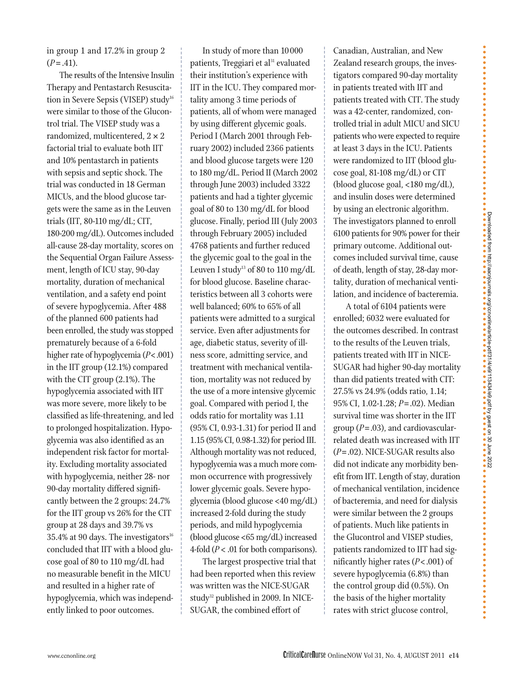in group 1 and 17.2% in group 2  $(P = .41)$ .

The results of the Intensive Insulin Therapy and Pentastarch Resuscitation in Severe Sepsis (VISEP) study<sup>16</sup> were similar to those of the Glucontrol trial. The VISEP study was a randomized, multicentered,  $2 \times 2$ factorial trial to evaluate both IIT and 10% pentastarch in patients with sepsis and septic shock. The trial was conducted in 18 German MICUs, and the blood glucose targets were the same as in the Leuven trials (IIT, 80-110 mg/dL; CIT, 180-200 mg/dL). Outcomes included all-cause 28-day mortality, scores on the Sequential Organ Failure Assessment, length of ICU stay, 90-day mortality, duration of mechanical ventilation, and a safety end point of severe hypoglycemia. After 488 of the planned 600 patients had been enrolled, the study was stopped prematurely because of a 6-fold higher rate of hypoglycemia (*P*<.001) in the IIT group (12.1%) compared with the CIT group (2.1%). The hypoglycemia associated with IIT was more severe, more likely to be classified as life-threatening, and led to prolonged hospitalization. Hypoglycemia was also identified as an independent risk factor for mortality. Excluding mortality associated with hypoglycemia, neither 28- nor 90-day mortality differed significantly between the 2 groups: 24.7% for the IIT group vs 26% for the CIT group at 28 days and 39.7% vs 35.4% at 90 days. The investigators $16$ concluded that IIT with a blood glucose goal of 80 to 110 mg/dL had no measurable benefit in the MICU and resulted in a higher rate of hypoglycemia, which was independently linked to poor outcomes.

In study of more than 10 000 patients, Treggiari et al<sup>31</sup> evaluated their institution's experience with IIT in the ICU. They compared mortality among 3 time periods of patients, all of whom were managed by using different glycemic goals. Period I (March 2001 through February 2002) included 2366 patients and blood glucose targets were 120 to 180 mg/dL. Period II (March 2002 through June 2003) included 3322 patients and had a tighter glycemic goal of 80 to 130 mg/dL for blood glucose. Finally, period III (July 2003 through February 2005) included 4768 patients and further reduced the glycemic goal to the goal in the Leuven I study<sup>13</sup> of 80 to 110 mg/dL for blood glucose. Baseline characteristics between all 3 cohorts were well balanced; 60% to 65% of all patients were admitted to a surgical service. Even after adjustments for age, diabetic status, severity of illness score, admitting service, and treatment with mechanical ventilation, mortality was not reduced by the use of a more intensive glycemic goal. Compared with period I, the odds ratio for mortality was 1.11 (95% CI, 0.93-1.31) for period II and 1.15 (95% CI, 0.98-1.32) for period III. Although mortality was not reduced, hypoglycemia was a much more common occurrence with progressively lower glycemic goals. Severe hypoglycemia (blood glucose <40 mg/dL) increased 2-fold during the study periods, and mild hypoglycemia (blood glucose <65 mg/dL) increased 4-fold (*P* < .01 for both comparisons).

The largest prospective trial that had been reported when this review was written was the NICE-SUGAR study<sup>32</sup> published in 2009. In NICE-SUGAR, the combined effort of

Canadian, Australian, and New Zealand research groups, the investigators compared 90-day mortality in patients treated with IIT and patients treated with CIT. The study was a 42-center, randomized, controlled trial in adult MICU and SICU patients who were expected to require at least 3 days in the ICU. Patients were randomized to IIT (blood glucose goal, 81-108 mg/dL) or CIT (blood glucose goal, <180 mg/dL), and insulin doses were determined by using an electronic algorithm. The investigators planned to enroll 6100 patients for 90% power for their primary outcome. Additional outcomes included survival time, cause of death, length of stay, 28-day mortality, duration of mechanical ventilation, and incidence of bacteremia.

A total of 6104 patients were enrolled; 6032 were evaluated for the outcomes described. In contrast to the results of the Leuven trials, patients treated with IIT in NICE-SUGAR had higher 90-day mortality than did patients treated with CIT: 27.5% vs 24.9% (odds ratio, 1.14; 95% CI, 1.02-1.28; *P*= .02). Median survival time was shorter in the IIT group (*P*= .03), and cardiovascularrelated death was increased with IIT (*P*= .02). NICE-SUGAR results also did not indicate any morbidity benefit from IIT. Length of stay, duration of mechanical ventilation, incidence of bacteremia, and need for dialysis were similar between the 2 groups of patients. Much like patients in the Glucontrol and VISEP studies, patients randomized to IIT had significantly higher rates (*P*< .001) of severe hypoglycemia (6.8%) than the control group did (0.5%). On the basis of the higher mortality rates with strict glucose control,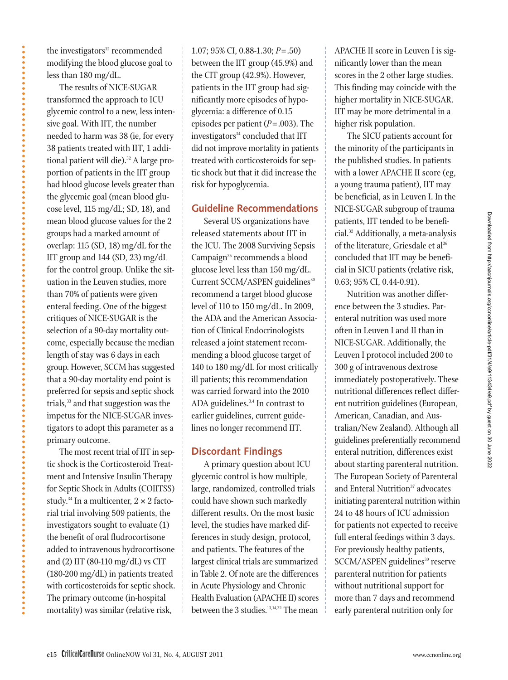the investigators<sup>32</sup> recommended modifying the blood glucose goal to less than 180 mg/dL.

The results of NICE-SUGAR transformed the approach to ICU glycemic control to a new, less intensive goal. With IIT, the number needed to harm was 38 (ie, for every 38 patients treated with IIT, 1 additional patient will die).<sup>32</sup> A large proportion of patients in the IIT group had blood glucose levels greater than the glycemic goal (mean blood glucose level, 115 mg/dL; SD, 18), and mean blood glucose values for the 2 groups had a marked amount of overlap: 115 (SD, 18) mg/dL for the IIT group and 144 (SD, 23) mg/dL for the control group. Unlike the situation in the Leuven studies, more than 70% of patients were given enteral feeding. One of the biggest critiques of NICE-SUGAR is the selection of a 90-day mortality outcome, especially because the median length of stay was 6 days in each group. However, SCCM has suggested that a 90-day mortality end point is preferred for sepsis and septic shock trials,<sup>33</sup> and that suggestion was the impetus for the NICE-SUGAR investigators to adopt this parameter as a primary outcome.

The most recent trial of IIT in septic shock is the Corticosteroid Treatment and Intensive Insulin Therapy for Septic Shock in Adults (COIITSS) study.<sup>34</sup> In a multicenter,  $2 \times 2$  factorial trial involving 509 patients, the investigators sought to evaluate (1) the benefit of oral fludrocortisone added to intravenous hydrocortisone and (2) IIT (80-110 mg/dL) vs CIT (180-200 mg/dL) in patients treated with corticosteroids for septic shock. The primary outcome (in-hospital mortality) was similar (relative risk,

1.07; 95% CI, 0.88-1.30; *P*= .50) between the IIT group (45.9%) and the CIT group (42.9%). However, patients in the IIT group had significantly more episodes of hypoglycemia: a difference of 0.15 episodes per patient (*P*= .003). The investigators<sup>34</sup> concluded that IIT did not improve mortality in patients treated with corticosteroids for septic shock but that it did increase the risk for hypoglycemia.

## **Guideline Recommendations**

Several US organizations have released statements about IIT in the ICU. The 2008 Surviving Sepsis Campaign<sup>35</sup> recommends a blood glucose level less than 150 mg/dL. Current SCCM/ASPEN guidelines<sup>30</sup> recommend a target blood glucose level of 110 to 150 mg/dL. In 2009, the ADA and the American Association of Clinical Endocrinologists released a joint statement recommending a blood glucose target of 140 to 180 mg/dL for most critically ill patients; this recommendation was carried forward into the 2010 ADA guidelines.<sup>3,4</sup> In contrast to earlier guidelines, current guidelines no longer recommend IIT.

### **Discordant Findings**

A primary question about ICU glycemic control is how multiple, large, randomized, controlled trials could have shown such markedly different results. On the most basic level, the studies have marked differences in study design, protocol, and patients. The features of the largest clinical trials are summarized in Table 2. Of note are the differences in Acute Physiology and Chronic Health Evaluation (APACHE II) scores between the 3 studies.<sup>13,14,32</sup> The mean

APACHE II score in Leuven I is significantly lower than the mean scores in the 2 other large studies. This finding may coincide with the higher mortality in NICE-SUGAR. IIT may be more detrimental in a higher risk population.

The SICU patients account for the minority of the participants in the published studies. In patients with a lower APACHE II score (eg, a young trauma patient), IIT may be beneficial, as in Leuven I. In the NICE-SUGAR subgroup of trauma patients, IIT tended to be beneficial.32 Additionally, a meta-analysis of the literature, Griesdale et al<sup>36</sup> concluded that IIT may be beneficial in SICU patients (relative risk, 0.63; 95% CI, 0.44-0.91).

Nutrition was another difference between the 3 studies. Parenteral nutrition was used more often in Leuven I and II than in NICE-SUGAR. Additionally, the Leuven I protocol included 200 to 300 g of intravenous dextrose immediately postoperatively. These nutritional differences reflect different nutrition guidelines (European, American, Canadian, and Australian/New Zealand). Although all guidelines preferentially recommend enteral nutrition, differences exist about starting parenteral nutrition. The European Society of Parenteral and Enteral Nutrition<sup>37</sup> advocates initiating parenteral nutrition within 24 to 48 hours of ICU admission for patients not expected to receive full enteral feedings within 3 days. For previously healthy patients, SCCM/ASPEN guidelines<sup>30</sup> reserve parenteral nutrition for patients without nutritional support for more than 7 days and recommend early parenteral nutrition only for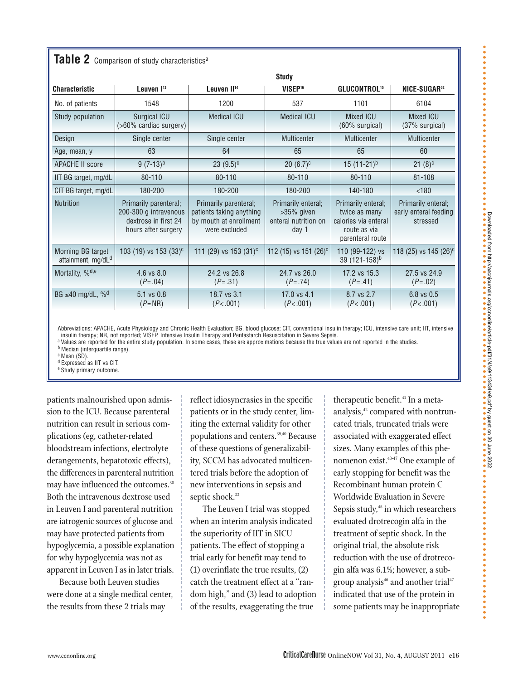|  |  |  |  |  | <b>Table 2</b> Comparison of study characteristics <sup>a</sup> |
|--|--|--|--|--|-----------------------------------------------------------------|
|--|--|--|--|--|-----------------------------------------------------------------|

|                                                     | <b>Study</b>                                                                                                                                                                                  |                                     |                                                                      |                                                                                                 |                                                         |  |  |  |  |
|-----------------------------------------------------|-----------------------------------------------------------------------------------------------------------------------------------------------------------------------------------------------|-------------------------------------|----------------------------------------------------------------------|-------------------------------------------------------------------------------------------------|---------------------------------------------------------|--|--|--|--|
| <b>Characteristic</b>                               | Leuven I <sup>13</sup>                                                                                                                                                                        | Leuven II <sup>14</sup>             | VISEP <sup>16</sup>                                                  | <b>GLUCONTROL<sup>15</sup></b>                                                                  | <b>NICE-SUGAR</b> <sup>32</sup>                         |  |  |  |  |
| No. of patients                                     | 1548                                                                                                                                                                                          | 1200                                | 537                                                                  | 1101                                                                                            | 6104                                                    |  |  |  |  |
| Study population                                    | <b>Surgical ICU</b><br>$($ >60% cardiac surgery)                                                                                                                                              | <b>Medical ICU</b>                  | <b>Medical ICU</b>                                                   | <b>Mixed ICU</b><br>$(60\%$ surgical)                                                           | <b>Mixed ICU</b><br>$(37\%$ surgical)                   |  |  |  |  |
| Design                                              | Single center                                                                                                                                                                                 | Single center<br><b>Multicenter</b> |                                                                      | <b>Multicenter</b>                                                                              | <b>Multicenter</b>                                      |  |  |  |  |
| Age, mean, y                                        | 63                                                                                                                                                                                            | 64                                  | 65                                                                   | 65                                                                                              | 60                                                      |  |  |  |  |
| <b>APACHE II score</b>                              | $9(7-13)^{b}$                                                                                                                                                                                 | $23(9.5)^c$                         | $20 (6.7)^c$                                                         | 15 $(11-21)^b$                                                                                  | $21(8)^c$                                               |  |  |  |  |
| IIT BG target, mg/dL                                | 80-110                                                                                                                                                                                        | 80-110                              | 80-110                                                               | 80-110                                                                                          | $81 - 108$                                              |  |  |  |  |
| CIT BG target, mg/dL                                | 180-200<br>180-200                                                                                                                                                                            |                                     | 180-200                                                              | 140-180                                                                                         | < 180                                                   |  |  |  |  |
| <b>Nutrition</b>                                    | Primarily parenteral;<br>Primarily parenteral;<br>200-300 g intravenous<br>patients taking anything<br>dextrose in first 24<br>by mouth at enrollment<br>hours after surgery<br>were excluded |                                     | Primarily enteral;<br>$>35\%$ given<br>enteral nutrition on<br>day 1 | Primarily enteral;<br>twice as many<br>calories via enteral<br>route as via<br>parenteral route | Primarily enteral;<br>early enteral feeding<br>stressed |  |  |  |  |
| Morning BG target<br>attainment, mg/dL <sup>d</sup> | 103 (19) vs 153 (33) <sup>c</sup>                                                                                                                                                             | 111 (29) vs 153 (31) <sup>c</sup>   | 112 (15) vs 151 (26) <sup>c</sup>                                    | 110 (99-122) vs<br>39 (121-158) <sup>b</sup>                                                    | 118 (25) vs 145 (26) <sup>c</sup>                       |  |  |  |  |
| Mortality, $\%$ <sup>d,e</sup>                      | 4.6 vs 8.0<br>$(P=.04)$                                                                                                                                                                       | 24.2 vs 26.8<br>$(P=.31)$           | 24.7 vs 26.0<br>$(P=.74)$                                            | 17.2 vs 15.3<br>$(P=.41)$                                                                       | 27.5 vs 24.9<br>$(P=.02)$                               |  |  |  |  |
| BG $\leq 40$ mg/dL, % <sup>d</sup>                  | 5.1 vs 0.8<br>$(P=NR)$                                                                                                                                                                        | 18.7 vs 3.1<br>(P<.001)             | 17.0 vs 4.1<br>(P<.001)                                              | 8.7 vs 2.7<br>(P<.001)                                                                          | 6.8 vs 0.5<br>(P<.001)                                  |  |  |  |  |

Abbreviations: APACHE, Acute Physiology and Chronic Health Evaluation; BG, blood glucose; CIT, conventional insulin therapy; ICU, intensive care unit; IIT, intensive insulin therapy; NR, not reported; VISEP, Intensive Insulin Therapy and Pentastarch Resuscitation in Severe Sepsis.

a Values are reported for the entire study population. In some cases, these are approximations because the true values are not reported in the studies.

**b** Median (interquartile range). c Mean (SD).

d Expressed as IIT vs CIT.

e Study primary outcome.

patients malnourished upon admission to the ICU. Because parenteral nutrition can result in serious complications (eg, catheter-related bloodstream infections, electrolyte derangements, hepatotoxic effects), the differences in parenteral nutrition may have influenced the outcomes.<sup>38</sup> Both the intravenous dextrose used in Leuven I and parenteral nutrition are iatrogenic sources of glucose and may have protected patients from hypoglycemia, a possible explanation for why hypoglycemia was not as apparent in Leuven I as in later trials.

Because both Leuven studies were done at a single medical center, the results from these 2 trials may

reflect idiosyncrasies in the specific patients or in the study center, limiting the external validity for other populations and centers.39,40 Because of these questions of generalizability, SCCM has advocated multicentered trials before the adoption of new interventions in sepsis and septic shock.<sup>33</sup>

The Leuven I trial was stopped when an interim analysis indicated the superiority of IIT in SICU patients. The effect of stopping a trial early for benefit may tend to (1) overinflate the true results, (2) catch the treatment effect at a "random high," and (3) lead to adoption of the results, exaggerating the true

therapeutic benefit.<sup>41</sup> In a metaanalysis,<sup>42</sup> compared with nontruncated trials, truncated trials were associated with exaggerated effect sizes. Many examples of this phenomenon exist.<sup>43-47</sup> One example of early stopping for benefit was the Recombinant human protein C Worldwide Evaluation in Severe Sepsis study,<sup>45</sup> in which researchers evaluated drotrecogin alfa in the treatment of septic shock. In the original trial, the absolute risk reduction with the use of drotrecogin alfa was 6.1%; however, a subgroup analysis<sup>46</sup> and another trial<sup>47</sup> indicated that use of the protein in some patients may be inappropriate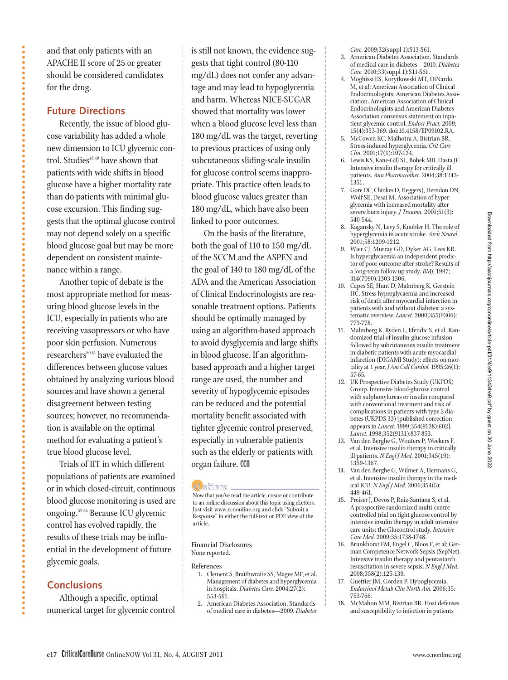and that only patients with an APACHE II score of 25 or greater should be considered candidates for the drug.

### **Future Directions**

Recently, the issue of blood glucose variability has added a whole new dimension to ICU glycemic control. Studies<sup>48,49</sup> have shown that patients with wide shifts in blood glucose have a higher mortality rate than do patients with minimal glucose excursion. This finding suggests that the optimal glucose control may not depend solely on a specific blood glucose goal but may be more dependent on consistent maintenance within a range.

Another topic of debate is the most appropriate method for measuring blood glucose levels in the ICU, especially in patients who are receiving vasopressors or who have poor skin perfusion. Numerous researchers<sup>50,51</sup> have evaluated the differences between glucose values obtained by analyzing various blood sources and have shown a general disagreement between testing sources; however, no recommendation is available on the optimal method for evaluating a patient's true blood glucose level.

Trials of IIT in which different populations of patients are examined or in which closed-circuit, continuous blood glucose monitoring is used are ongoing.52-54 Because ICU glycemic control has evolved rapidly, the results of these trials may be influential in the development of future glycemic goals.

## **Conclusions**

Although a specific, optimal numerical target for glycemic control is still not known, the evidence suggests that tight control (80-110 mg/dL) does not confer any advantage and may lead to hypoglycemia and harm. Whereas NICE-SUGAR showed that mortality was lower when a blood glucose level less than 180 mg/dL was the target, reverting to previous practices of using only subcutaneous sliding-scale insulin for glucose control seems inappropriate. This practice often leads to blood glucose values greater than 180 mg/dL, which have also been linked to poor outcomes.

On the basis of the literature, both the goal of 110 to 150 mg/dL of the SCCM and the ASPEN and the goal of 140 to 180 mg/dL of the ADA and the American Association of Clinical Endocrinologists are reasonable treatment options. Patients should be optimally managed by using an algorithm-based approach to avoid dysglycemia and large shifts in blood glucose. If an algorithmbased approach and a higher target range are used, the number and severity of hypoglycemic episodes can be reduced and the potential mortality benefit associated with tighter glycemic control preserved, especially in vulnerable patients such as the elderly or patients with organ failure. CCII

#### e Letters.

Now that you've read the article, create or contribute to an online discussion about this topic using eLetters. Just visit www.ccnonline.org and click "Submit a Response" in either the full-text or PDF view of the article.

#### Financial Disclosures None reported.

References

- 1. Clement S, Braithwraite SS, Magee MF, et al. Management of diabetes and hyperglycemia in hospitals. *Diabetes Care.* 2004;27(2): 553-591.
- 2. American Diabetes Association. Standards of medical care in diabetes—2009. *Diabetes*

*Care.* 2009;32(suppl 1):S13-S61.

- 3. American Diabetes Association. Standards of medical care in diabetes—2010. *Diabetes Care.* 2010;33(suppl 1):S11-S61.
- 4. Moghissi ES, Korytkowski MT, DiNardo M, et al; American Association of Clinical Endocrinologists; American Diabetes Association. American Association of Clinical Endocrinologists and American Diabetes Association consensus statement on inpatient glycemic control. *Endocr Pract.* 2009; 15(4):353-369. doi:10.4158/EP09102.RA.
- 5. McCowen KC, Malhotra A, Bistrian BR. Stress-induced hyperglycemia. *Crit Care Clin.* 2001;17(1):107-124.
- 6. Lewis KS, Kane-Gill SL, Bobek MB, Dasta JF. Intensive insulin therapy for critically ill patients. *Ann Pharmacother.* 2004;38:1243- 1351.
- 7. Gore DC, Chinkes D, Heggers J, Herndon DN, Wolf SE, Desai M. Association of hyperglycemia with increased mortality after severe burn injury. *J Trauma*. 2001;51(3): 540-544.
- 8. Kagansky N, Levy S, Knobler H. The role of hyperglycemia in acute stroke. *Arch Neurol.* 2001;58:1209-1212.
- 9. Wier CJ, Murray GD, Dyker AG, Lees KR. Is hyperglycaemia an independent predictor of poor outcome after stroke? Results of a long-term follow up study. *BMJ.* 1997; 314(7090):1303-1306.
- 10. Capes SE, Hunt D, Malmberg K, Gerstein HC. Stress hyperglycaemia and increased risk of death after myocardial infarction in patients with and without diabetes: a systematic overview. *Lancet.* 2000;355(9206): 773-778.
- 11. Malmberg K, Ryden L, Efendic S, et al. Randomized trial of insulin-glucose infusion followed by subcutaneous insulin treatment in diabetic patients with acute myocardial infarction (DIGAMI Study): effects on mortality at 1 year. *J Am Coll Cardiol.* 1995;26(1): 57-65.
- 12. UK Prospective Diabetes Study (UKPDS) Group. Intensive blood-glucose control with sulphonylureas or insulin compared with conventional treatment and risk of complications in patients with type 2 diabetes (UKPDS 33) [published correction appears in *Lancet.* 1999;354(9128):602]. *Lancet.* 1998;352(9131):837-853.
- 13. Van den Berghe G, Wouters P, Weekers F, et al. Intensive insulin therapy in critically ill patients. *N Engl J Med.* 2001;345(19): 1359-1367.
- 14. Van den Berghe G, Wilmer A, Hermans G, et al. Intensive insulin therapy in the medical ICU. *N Engl J Med.* 2006;354(5): 449-461.
- 15. Preiser J, Devos P, Ruiz-Santana S, et al. A prospective randomized multi-centre controlled trial on tight glucose control by intensive insulin therapy in adult intensive care units: the Glucontrol study. *Intensive Care Med.* 2009;35:1738-1748.
- 16. Brunkhorst FM, Engel C, Bloos F, et al; German Competence Network Sepsis (SepNet). Intensive insulin therapy and pentastarch resuscitation in severe sepsis. *N Engl J Med.* 2008;358(2):125-139.
- 17. Guettier JM, Gorden P. Hypoglycemia. *Endo crinol Metab Clin North Am.* 2006;35: 753-766.
- 18. McMahon MM, Bistrian BR. Host defenses and susceptibility to infection in patients